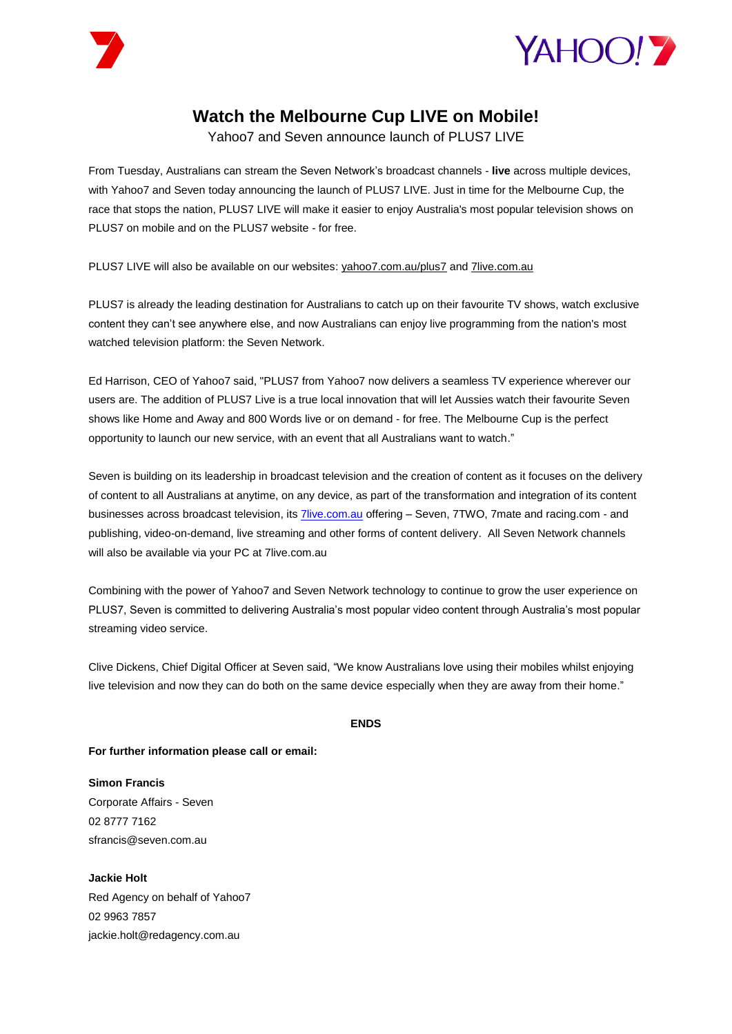



## **Watch the Melbourne Cup LIVE on Mobile!**

Yahoo7 and Seven announce launch of PLUS7 LIVE

From Tuesday, Australians can stream the Seven Network's broadcast channels - **live** across multiple devices, with Yahoo7 and Seven today announcing the launch of PLUS7 LIVE. Just in time for the Melbourne Cup, the race that stops the nation, PLUS7 LIVE will make it easier to enjoy Australia's most popular television shows on PLUS7 on mobile and on the PLUS7 website - for free.

PLUS7 LIVE will also be available on our websites: yahoo7.com.au/plus7 and 7live.com.au

PLUS7 is already the leading destination for Australians to catch up on their favourite TV shows, watch exclusive content they can't see anywhere else, and now Australians can enjoy live programming from the nation's most watched television platform: the Seven Network.

Ed Harrison, CEO of Yahoo7 said, "PLUS7 from Yahoo7 now delivers a seamless TV experience wherever our users are. The addition of PLUS7 Live is a true local innovation that will let Aussies watch their favourite Seven shows like Home and Away and 800 Words live or on demand - for free. The Melbourne Cup is the perfect opportunity to launch our new service, with an event that all Australians want to watch."

Seven is building on its leadership in broadcast television and the creation of content as it focuses on the delivery of content to all Australians at anytime, on any device, as part of the transformation and integration of its content businesses across broadcast television, it[s 7live.com.au](http://www.7live.com.au/) offering - Seven, 7TWO, 7mate and racing.com - and publishing, video-on-demand, live streaming and other forms of content delivery. All Seven Network channels will also be available via your PC at 7live.com.au

Combining with the power of Yahoo7 and Seven Network technology to continue to grow the user experience on PLUS7, Seven is committed to delivering Australia's most popular video content through Australia's most popular streaming video service.

Clive Dickens, Chief Digital Officer at Seven said, "We know Australians love using their mobiles whilst enjoying live television and now they can do both on the same device especially when they are away from their home."

## **ENDS**

**For further information please call or email:**

**Simon Francis**  Corporate Affairs - Seven 02 8777 7162 sfrancis@seven.com.au

**Jackie Holt**  Red Agency on behalf of Yahoo7 02 9963 7857 jackie.holt@redagency.com.au